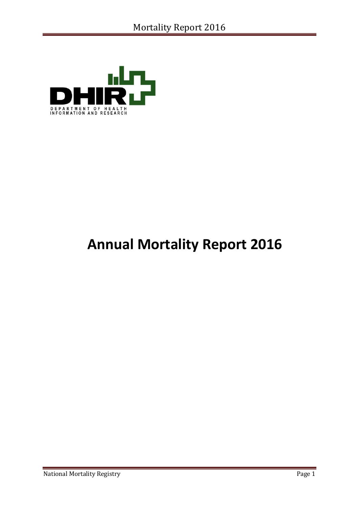

# **Annual Mortality Report 2016**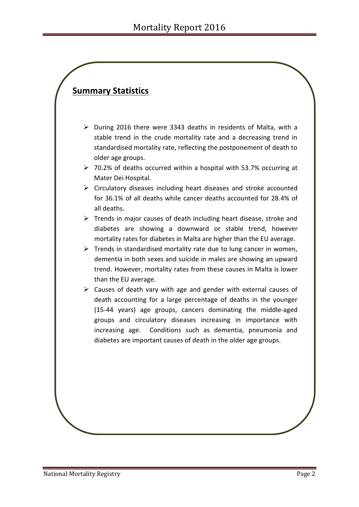# **Summary Statistics**

- ➢ During 2016 there were 3343 deaths in residents of Malta, with a stable trend in the crude mortality rate and a decreasing trend in standardised mortality rate, reflecting the postponement of death to older age groups.
- ➢ 70.2% of deaths occurred within a hospital with 53.7% occurring at Mater Dei Hospital.
- ➢ Circulatory diseases including heart diseases and stroke accounted for 36.1% of all deaths while cancer deaths accounted for 28.4% of all deaths.
- $\triangleright$  Trends in major causes of death including heart disease, stroke and diabetes are showing a downward or stable trend, however mortality rates for diabetes in Malta are higher than the EU average.
- $\triangleright$  Trends in standardised mortality rate due to lung cancer in women, dementia in both sexes and suicide in males are showing an upward trend. However, mortality rates from these causes in Malta is lower than the EU average.
- ➢ Causes of death vary with age and gender with external causes of death accounting for a large percentage of deaths in the younger (15-44 years) age groups, cancers dominating the middle-aged groups and circulatory diseases increasing in importance with increasing age. Conditions such as dementia, pneumonia and diabetes are important causes of death in the older age groups.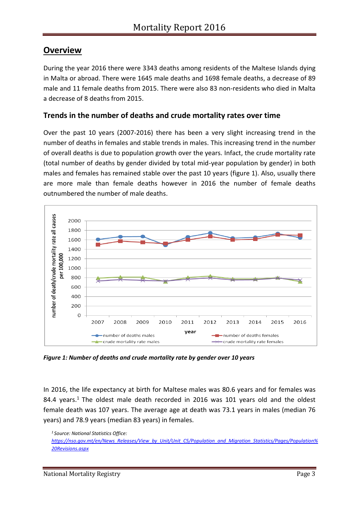## **Overview**

During the year 2016 there were 3343 deaths among residents of the Maltese Islands dying in Malta or abroad. There were 1645 male deaths and 1698 female deaths, a decrease of 89 male and 11 female deaths from 2015. There were also 83 non-residents who died in Malta a decrease of 8 deaths from 2015.

### **Trends in the number of deaths and crude mortality rates over time**

Over the past 10 years (2007-2016) there has been a very slight increasing trend in the number of deaths in females and stable trends in males. This increasing trend in the number of overall deaths is due to population growth over the years. Infact, the crude mortality rate (total number of deaths by gender divided by total mid-year population by gender) in both males and females has remained stable over the past 10 years (figure 1). Also, usually there are more male than female deaths however in 2016 the number of female deaths outnumbered the number of male deaths.



*Figure 1: Number of deaths and crude mortality rate by gender over 10 years*

In 2016, the life expectancy at birth for Maltese males was 80.6 years and for females was 84.4 years.<sup>1</sup> The oldest male death recorded in 2016 was 101 years old and the oldest female death was 107 years. The average age at death was 73.1 years in males (median 76 years) and 78.9 years (median 83 years) in females.

*<sup>1</sup>Source: National Statistics Office: [https://nso.gov.mt/en/News\\_Releases/View\\_by\\_Unit/Unit\\_C5/Population\\_and\\_Migration\\_Statistics/Pages/Population%](https://nso.gov.mt/en/News_Releases/View_by_Unit/Unit_C5/Population_and_Migration_Statistics/Pages/Population%20Revisions.aspx) [20Revisions.aspx](https://nso.gov.mt/en/News_Releases/View_by_Unit/Unit_C5/Population_and_Migration_Statistics/Pages/Population%20Revisions.aspx)*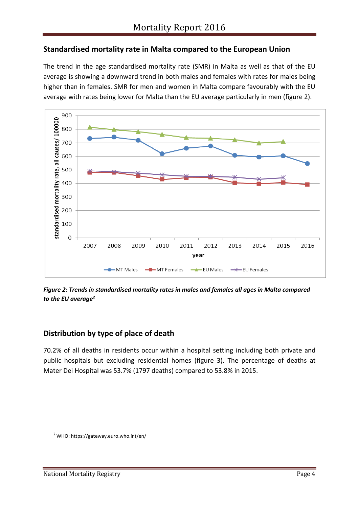## **Standardised mortality rate in Malta compared to the European Union**

The trend in the age standardised mortality rate (SMR) in Malta as well as that of the EU average is showing a downward trend in both males and females with rates for males being higher than in females. SMR for men and women in Malta compare favourably with the EU average with rates being lower for Malta than the EU average particularly in men (figure 2).



*Figure 2: Trends in standardised mortality rates in males and females all ages in Malta compared to the EU average<sup>2</sup>*

## **Distribution by type of place of death**

70.2% of all deaths in residents occur within a hospital setting including both private and public hospitals but excluding residential homes (figure 3). The percentage of deaths at Mater Dei Hospital was 53.7% (1797 deaths) compared to 53.8% in 2015.

<sup>2</sup> WHO: https://gateway.euro.who.int/en/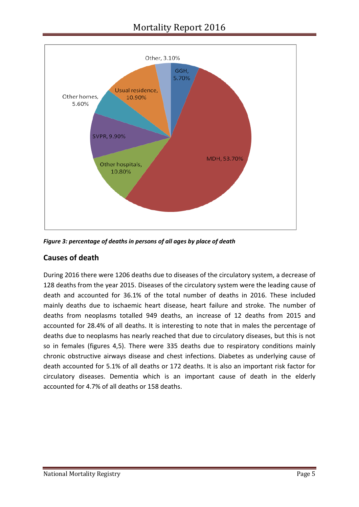

*Figure 3: percentage of deaths in persons of all ages by place of death*

## **Causes of death**

During 2016 there were 1206 deaths due to diseases of the circulatory system, a decrease of 128 deaths from the year 2015. Diseases of the circulatory system were the leading cause of death and accounted for 36.1% of the total number of deaths in 2016. These included mainly deaths due to ischaemic heart disease, heart failure and stroke. The number of deaths from neoplasms totalled 949 deaths, an increase of 12 deaths from 2015 and accounted for 28.4% of all deaths. It is interesting to note that in males the percentage of deaths due to neoplasms has nearly reached that due to circulatory diseases, but this is not so in females (figures 4,5). There were 335 deaths due to respiratory conditions mainly chronic obstructive airways disease and chest infections. Diabetes as underlying cause of death accounted for 5.1% of all deaths or 172 deaths. It is also an important risk factor for circulatory diseases. Dementia which is an important cause of death in the elderly accounted for 4.7% of all deaths or 158 deaths.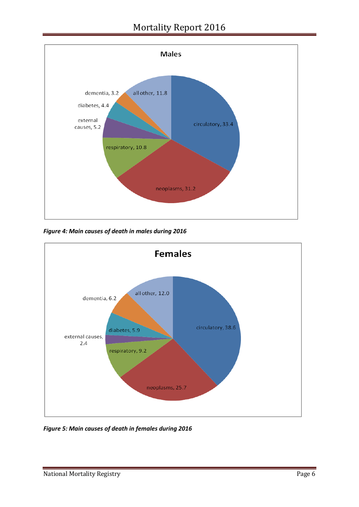## Mortality Report 2016



*Figure 4: Main causes of death in males during 2016*



*Figure 5: Main causes of death in females during 2016*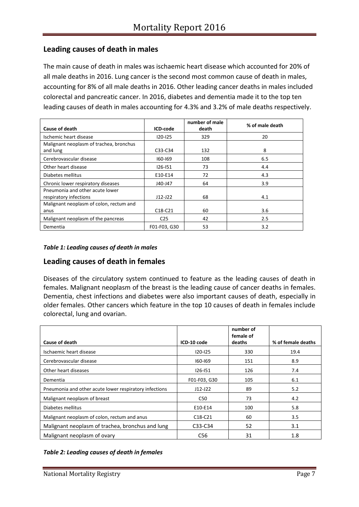### **Leading causes of death in males**

The main cause of death in males was ischaemic heart disease which accounted for 20% of all male deaths in 2016. Lung cancer is the second most common cause of death in males, accounting for 8% of all male deaths in 2016. Other leading cancer deaths in males included colorectal and pancreatic cancer. In 2016, diabetes and dementia made it to the top ten leading causes of death in males accounting for 4.3% and 3.2% of male deaths respectively.

| Cause of death                          | ICD-code        | number of male<br>death | % of male death |
|-----------------------------------------|-----------------|-------------------------|-----------------|
| Ischemic heart disease                  | 120-125         | 329                     | 20              |
| Malignant neoplasm of trachea, bronchus |                 |                         |                 |
| and lung                                | C33-C34         | 132                     | 8               |
| Cerebrovascular disease                 | 160-169         | 108                     | 6.5             |
| Other heart disease                     | $126 - 151$     | 73                      | 4.4             |
| Diabetes mellitus                       | E10-E14         | 72                      | 4.3             |
| Chronic lower respiratory diseases      | J40-J47         | 64                      | 3.9             |
| Pneumonia and other acute lower         |                 |                         |                 |
| respiratory infections                  | $J12-J22$       | 68                      | 4.1             |
| Malignant neoplasm of colon, rectum and |                 |                         |                 |
| anus                                    | $C18-C21$       | 60                      | 3.6             |
| Malignant neoplasm of the pancreas      | C <sub>25</sub> | 42                      | 2.5             |
| Dementia                                | F01-F03, G30    | 53                      | 3.2             |

#### *Table 1: Leading causes of death in males*

### **Leading causes of death in females**

Diseases of the circulatory system continued to feature as the leading causes of death in females. Malignant neoplasm of the breast is the leading cause of cancer deaths in females. Dementia, chest infections and diabetes were also important causes of death, especially in older females. Other cancers which feature in the top 10 causes of death in females include colorectal, lung and ovarian.

|                                                        |                                  | number of<br>female of |                    |
|--------------------------------------------------------|----------------------------------|------------------------|--------------------|
| Cause of death                                         | ICD-10 code                      | deaths                 | % of female deaths |
| Ischaemic heart disease                                | $120 - 125$                      | 330                    | 19.4               |
| Cerebrovascular disease                                | 160-169                          | 151                    | 8.9                |
| Other heart diseases                                   | $126 - 151$                      | 126                    | 7.4                |
| Dementia                                               | F01-F03, G30                     | 105                    | 6.1                |
| Pneumonia and other acute lower respiratory infections | $J12-J22$                        | 89                     | 5.2                |
| Malignant neoplasm of breast                           | C50                              | 73                     | 4.2                |
| Diabetes mellitus                                      | E10-E14                          | 100                    | 5.8                |
| Malignant neoplasm of colon, rectum and anus           | C <sub>18</sub> -C <sub>21</sub> | 60                     | 3.5                |
| Malignant neoplasm of trachea, bronchus and lung       | C33-C34                          | 52                     | 3.1                |
| Malignant neoplasm of ovary                            | C <sub>56</sub>                  | 31                     | 1.8                |

#### *Table 2: Leading causes of death in females*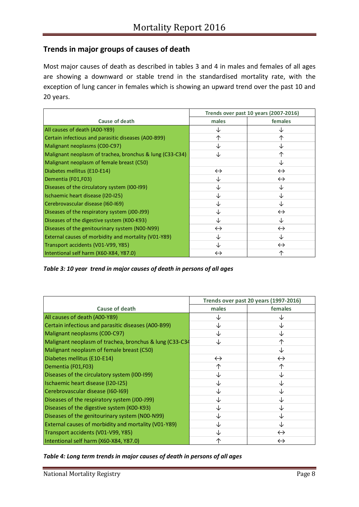## **Trends in major groups of causes of death**

Most major causes of death as described in tables 3 and 4 in males and females of all ages are showing a downward or stable trend in the standardised mortality rate, with the exception of lung cancer in females which is showing an upward trend over the past 10 and 20 years.

|                                                          |                   | Trends over past 10 years (2007-2016) |
|----------------------------------------------------------|-------------------|---------------------------------------|
| Cause of death                                           | males             | females                               |
| All causes of death (A00-Y89)                            | ↓                 | Jż                                    |
| Certain infectious and parasitic diseases (A00-B99)      | 个                 | ᠰ                                     |
| Malignant neoplasms (C00-C97)                            | ↓                 | Jż                                    |
| Malignant neoplasm of trachea, bronchus & lung (C33-C34) | ↓                 | ↑                                     |
| Malignant neoplasm of female breast (C50)                |                   | Jż                                    |
| Diabetes mellitus (E10-E14)                              | $\leftrightarrow$ | $\leftrightarrow$                     |
| Dementia (F01,F03)                                       | ↓                 | $\leftrightarrow$                     |
| Diseases of the circulatory system (I00-I99)             | ↓                 | Jż                                    |
| Ischaemic heart disease (I20-I25)                        | ↓                 |                                       |
| Cerebrovascular disease (160-169)                        | ↓                 | ↓                                     |
| Diseases of the respiratory system (J00-J99)             | ↓                 | $\leftrightarrow$                     |
| Diseases of the digestive system (K00-K93)               | ↓                 | ↓                                     |
| Diseases of the genitourinary system (N00-N99)           | $\leftrightarrow$ | $\leftrightarrow$                     |
| External causes of morbidity and mortality (V01-Y89)     | ↓                 | ↓                                     |
| Transport accidents (V01-V99, Y85)                       | ↓                 | $\leftrightarrow$                     |
| Intentional self harm (X60-X84, Y87.0)                   | $\leftrightarrow$ | 个                                     |

*Table 3: 10 year trend in major causes of death in persons of all ages*

|                                                         |                   | Trends over past 20 years (1997-2016) |
|---------------------------------------------------------|-------------------|---------------------------------------|
| <b>Cause of death</b>                                   | males             | females                               |
| All causes of death (A00-Y89)                           |                   |                                       |
| Certain infectious and parasitic diseases (A00-B99)     | ↓                 |                                       |
| Malignant neoplasms (C00-C97)                           | J                 |                                       |
| Malignant neoplasm of trachea, bronchus & lung (C33-C34 | ↓                 |                                       |
| Malignant neoplasm of female breast (C50)               |                   |                                       |
| Diabetes mellitus (E10-E14)                             | $\leftrightarrow$ | $\leftrightarrow$                     |
| Dementia (F01,F03)                                      | 个                 |                                       |
| Diseases of the circulatory system (I00-199)            | ↓                 |                                       |
| Ischaemic heart disease (120-125)                       | ↓                 |                                       |
| Cerebrovascular disease (160-169)                       | ↓                 |                                       |
| Diseases of the respiratory system (J00-J99)            | ↓                 |                                       |
| Diseases of the digestive system (K00-K93)              | ↓                 |                                       |
| Diseases of the genitourinary system (N00-N99)          | ↓                 |                                       |
| External causes of morbidity and mortality (V01-Y89)    | ↓                 | J                                     |
| Transport accidents (V01-V99, Y85)                      | ↓                 | $\leftrightarrow$                     |
| Intentional self harm (X60-X84, Y87.0)                  | ᠰ                 | $\leftrightarrow$                     |

*Table 4: Long term trends in major causes of death in persons of all ages*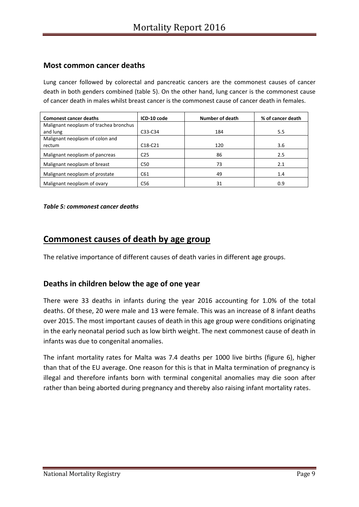#### **Most common cancer deaths**

Lung cancer followed by colorectal and pancreatic cancers are the commonest causes of cancer death in both genders combined (table 5). On the other hand, lung cancer is the commonest cause of cancer death in males whilst breast cancer is the commonest cause of cancer death in females.

| <b>Comonest cancer deaths</b>          | ICD-10 code     | <b>Number of death</b> | % of cancer death |
|----------------------------------------|-----------------|------------------------|-------------------|
| Malignant neoplasm of trachea bronchus |                 |                        |                   |
| and lung                               | C33-C34         | 184                    | 5.5               |
| Malignant neoplasm of colon and        |                 |                        |                   |
| rectum                                 | $C18-C21$       | 120                    | 3.6               |
| Malignant neoplasm of pancreas         | C <sub>25</sub> | 86                     | 2.5               |
| Malignant neoplasm of breast           | C50             | 73                     | 2.1               |
| Malignant neoplasm of prostate         | C61             | 49                     | 1.4               |
| Malignant neoplasm of ovary            | C <sub>56</sub> | 31                     | 0.9               |

#### *Table 5: commonest cancer deaths*

## **Commonest causes of death by age group**

The relative importance of different causes of death varies in different age groups.

### **Deaths in children below the age of one year**

There were 33 deaths in infants during the year 2016 accounting for 1.0% of the total deaths. Of these, 20 were male and 13 were female. This was an increase of 8 infant deaths over 2015. The most important causes of death in this age group were conditions originating in the early neonatal period such as low birth weight. The next commonest cause of death in infants was due to congenital anomalies.

The infant mortality rates for Malta was 7.4 deaths per 1000 live births (figure 6), higher than that of the EU average. One reason for this is that in Malta termination of pregnancy is illegal and therefore infants born with terminal congenital anomalies may die soon after rather than being aborted during pregnancy and thereby also raising infant mortality rates.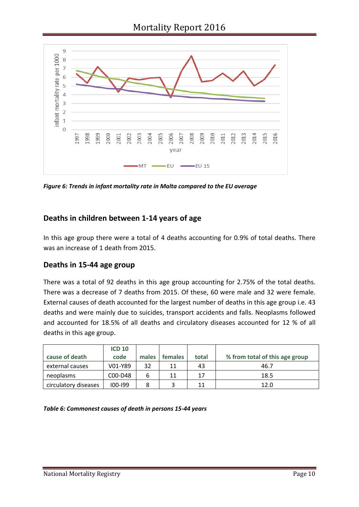

*Figure 6: Trends in infant mortality rate in Malta compared to the EU average*

## **Deaths in children between 1-14 years of age**

In this age group there were a total of 4 deaths accounting for 0.9% of total deaths. There was an increase of 1 death from 2015.

### **Deaths in 15-44 age group**

There was a total of 92 deaths in this age group accounting for 2.75% of the total deaths. There was a decrease of 7 deaths from 2015. Of these, 60 were male and 32 were female. External causes of death accounted for the largest number of deaths in this age group i.e. 43 deaths and were mainly due to suicides, transport accidents and falls. Neoplasms followed and accounted for 18.5% of all deaths and circulatory diseases accounted for 12 % of all deaths in this age group.

|                      | <b>ICD 10</b> |       |                |       |                                |
|----------------------|---------------|-------|----------------|-------|--------------------------------|
| cause of death       | code          | males | <b>females</b> | total | % from total of this age group |
| external causes      | V01-Y89       | 32    | 11             | 43    | 46.7                           |
| neoplasms            | C00-D48       | 6     | 11             | 17    | 18.5                           |
| circulatory diseases | $100 - 199$   | 8     |                | 11    | 12.0                           |

*Table 6: Commonest causes of death in persons 15-44 years*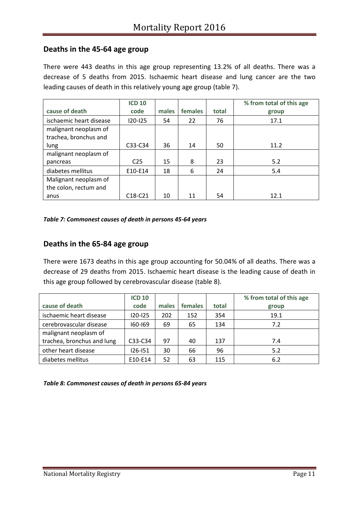#### **Deaths in the 45-64 age group**

There were 443 deaths in this age group representing 13.2% of all deaths. There was a decrease of 5 deaths from 2015. Ischaemic heart disease and lung cancer are the two leading causes of death in this relatively young age group (table 7).

|                         | <b>ICD 10</b>   |       |         |       | % from total of this age |
|-------------------------|-----------------|-------|---------|-------|--------------------------|
| cause of death          | code            | males | females | total | group                    |
| ischaemic heart disease | $120 - 125$     | 54    | 22      | 76    | 17.1                     |
| malignant neoplasm of   |                 |       |         |       |                          |
| trachea, bronchus and   |                 |       |         |       |                          |
| lung                    | C33-C34         | 36    | 14      | 50    | 11.2                     |
| malignant neoplasm of   |                 |       |         |       |                          |
| pancreas                | C <sub>25</sub> | 15    | 8       | 23    | 5.2                      |
| diabetes mellitus       | E10-E14         | 18    | 6       | 24    | 5.4                      |
| Malignant neoplasm of   |                 |       |         |       |                          |
| the colon, rectum and   |                 |       |         |       |                          |
| anus                    | $C18-C21$       | 10    | 11      | 54    | 12.1                     |

#### *Table 7: Commonest causes of death in persons 45-64 years*

#### **Deaths in the 65-84 age group**

There were 1673 deaths in this age group accounting for 50.04% of all deaths. There was a decrease of 29 deaths from 2015. Ischaemic heart disease is the leading cause of death in this age group followed by cerebrovascular disease (table 8).

|                            | <b>ICD 10</b> |       |         |       | % from total of this age |
|----------------------------|---------------|-------|---------|-------|--------------------------|
| cause of death             | code          | males | females | total | group                    |
| ischaemic heart disease    | 120-125       | 202   | 152     | 354   | 19.1                     |
| cerebrovascular disease    | $160 - 169$   | 69    | 65      | 134   | 7.2                      |
| malignant neoplasm of      |               |       |         |       |                          |
| trachea, bronchus and lung | C33-C34       | 97    | 40      | 137   | 7.4                      |
| other heart disease        | $126 - 151$   | 30    | 66      | 96    | 5.2                      |
| diabetes mellitus          | E10-E14       | 52    | 63      | 115   | 6.2                      |

*Table 8: Commonest causes of death in persons 65-84 years*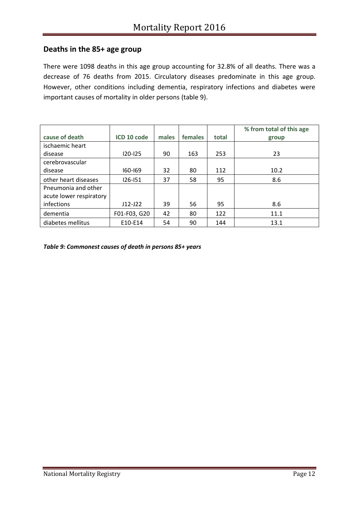### **Deaths in the 85+ age group**

There were 1098 deaths in this age group accounting for 32.8% of all deaths. There was a decrease of 76 deaths from 2015. Circulatory diseases predominate in this age group. However, other conditions including dementia, respiratory infections and diabetes were important causes of mortality in older persons (table 9).

|                         |              |       |         |       | % from total of this age |
|-------------------------|--------------|-------|---------|-------|--------------------------|
| cause of death          | ICD 10 code  | males | females | total | group                    |
| ischaemic heart         |              |       |         |       |                          |
| disease                 | $120 - 125$  | 90    | 163     | 253   | 23                       |
| cerebrovascular         |              |       |         |       |                          |
| disease                 | $160 - 169$  | 32    | 80      | 112   | 10.2                     |
| other heart diseases    | $126 - 151$  | 37    | 58      | 95    | 8.6                      |
| Pneumonia and other     |              |       |         |       |                          |
| acute lower respiratory |              |       |         |       |                          |
| infections              | $J12-J22$    | 39    | 56      | 95    | 8.6                      |
| dementia                | F01-F03, G20 | 42    | 80      | 122   | 11.1                     |
| diabetes mellitus       | E10-E14      | 54    | 90      | 144   | 13.1                     |

*Table 9: Commonest causes of death in persons 85+ years*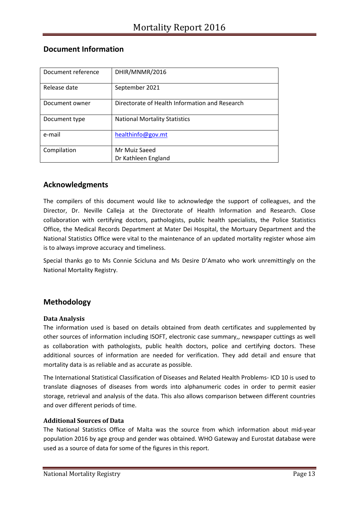| Document reference | DHIR/MNMR/2016                                 |
|--------------------|------------------------------------------------|
| Release date       | September 2021                                 |
| Document owner     | Directorate of Health Information and Research |
| Document type      | <b>National Mortality Statistics</b>           |
| e-mail             | healthinfo@gov.mt                              |
| Compilation        | Mr Muiz Saeed                                  |
|                    | Dr Kathleen England                            |

#### **Document Information**

#### **Acknowledgments**

The compilers of this document would like to acknowledge the support of colleagues, and the Director, Dr. Neville Calleja at the Directorate of Health Information and Research. Close collaboration with certifying doctors, pathologists, public health specialists, the Police Statistics Office, the Medical Records Department at Mater Dei Hospital, the Mortuary Department and the National Statistics Office were vital to the maintenance of an updated mortality register whose aim is to always improve accuracy and timeliness.

Special thanks go to Ms Connie Scicluna and Ms Desire D'Amato who work unremittingly on the National Mortality Registry.

#### **Methodology**

#### **Data Analysis**

The information used is based on details obtained from death certificates and supplemented by other sources of information including ISOFT, electronic case summary,, newspaper cuttings as well as collaboration with pathologists, public health doctors, police and certifying doctors. These additional sources of information are needed for verification. They add detail and ensure that mortality data is as reliable and as accurate as possible.

The International Statistical Classification of Diseases and Related Health Problems- ICD 10 is used to translate diagnoses of diseases from words into alphanumeric codes in order to permit easier storage, retrieval and analysis of the data. This also allows comparison between different countries and over different periods of time.

#### **Additional Sources of Data**

The National Statistics Office of Malta was the source from which information about mid-year population 2016 by age group and gender was obtained. WHO Gateway and Eurostat database were used as a source of data for some of the figures in this report.